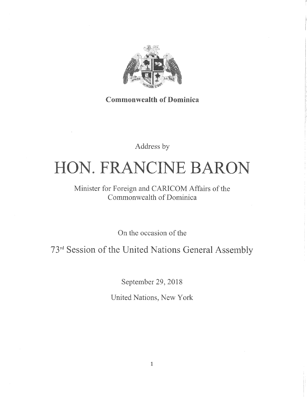

**Commonwealth of Dominica** 

Address by

# HON. FRANCINE BARON

# Minister for Foreign and CARICOM Affairs of the Commonwealth of Dominica

On the occasion of the

73rd Session of the United Nations General Assembly

September 29, 2018

United Nations, New York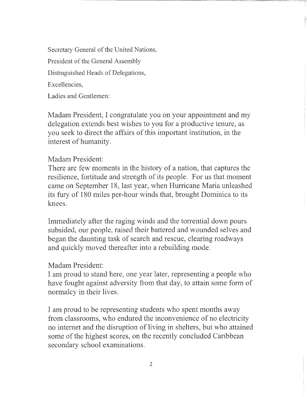Secretary General of the United Nations, President of the General Assembly Distinguished Heads of Delegations, Excellencies,

Ladies and Gentlemen:

Madam President, I congratulate you on your appointment and my delegation extends best wishes to you for a productive tenure, as you seek to direct the affairs of this important institution, in the interest of humanity.

### Madam President:

There are few moments in the history of a nation, that captures the resilience, fortitude and strength of its people. For us that moment came on September 18, last year, when Hurricane Maria unleashed its fury of 180 miles per-hour winds that, brought Dominica to its knees.

Immediately after the raging winds and the torrential down pours subsided, our people, raised their battered and wounded selves and began the daunting task of search and rescue, clearing roadways and quickly moved thereafter into a rebuilding mode.

# Madam President:

I am proud to stand here, one year later, representing a people who have fought against adversity from that day, to attain some form of normalcy in their lives.

I am proud to be representing students who spent months away from classrooms, who endured the inconvenience of no electricity no internet and the disruption of living in shelters, but who attained some of the highest scores, on the recently concluded Caribbean secondary school examinations.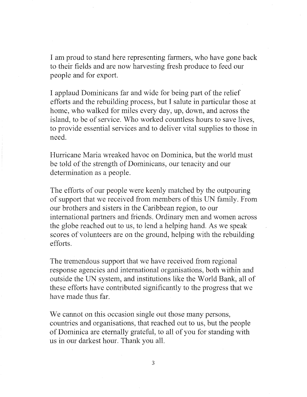I am proud to stand here representing farmers, who have gone back to their fields and are now harvesting fresh produce to feed our people and for export.

I applaud Dominicans far and wide for being part of the relief efforts and the rebuilding process, but I salute in particular those at home, who walked for miles every day, up, down, and across the island, to be of service. Who worked countless hours to save lives, to provide essential services and to deliver vital supplies to those in need.

Hurricane Maria wreaked havoc on Dominica, but the world must be told of the strength of Dominicans, our tenacity and our determination as a people.

The efforts of our people were keenly matched by the outpouring of support that we received from members of this UN family. From our brothers and sisters in the Caribbean region, to our international partners and friends. Ordinary men and women across the globe reached out to us, to lend a helping hand. As we speak scores of volunteers are on the ground, helping with the rebuilding efforts.

The tremendous support that we have received from regional response agencies and international organisations, both within and outside the UN system, and institutions like the World Bank, all of these efforts have contributed significantly to the progress that we have made thus far.

We cannot on this occasion single out those many persons, countries and organisations, that reached out to us, but the people of Dominica are eternally grateful, to all of you for standing with us in our darkest hour. Thank you all.

3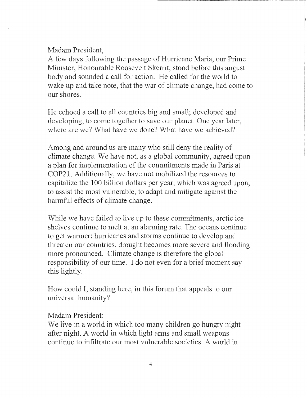Madam President,

A few days following the passage of Hurricane Maria, our Prime Minister, Honourable Roosevelt Skerrit, stood before this august body and sounded a call for action. He called for the world to wake up and take note, that the war of climate change, had come to our shores.

He echoed a call to all countries big and small; developed and developing, to come together to save our planet. One year later, where are we? What have we done? What have we achieved?

Among and around us are many who still deny the reality of climate change. We have not, as a global community, agreed upon a plan for implementation of the commitments made in Paris at COP21. Additionally, we have not mobilized the resources to capitalize the 100 billion dollars per year, which was agreed upon, to assist the most vulnerable, to adapt and mitigate against the harmful effects of climate change.

While we have failed to live up to these commitments, arctic ice shelves continue to melt at an alarming rate. The oceans continue to get warmer; hurricanes and storms continue to develop and threaten our countries, drought becomes more severe and flooding more pronounced. Climate change is therefore the global responsibility of our time. I do not even for a brief moment say this lightly.

How could I, standing here, in this forum that appeals to our universal humanity?

# Madam President:

We live in a world in which too many children go hungry night after night. A world in which light arms and small weapons continue to infiltrate our most vulnerable societies. A world in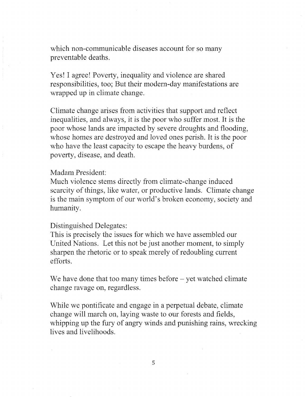which non-communicable diseases account for so many preventable deaths.

Yes! I agree! Poverty, inequality and violence are shared responsibilities, too; But their modern-day manifestations are wrapped up in climate change.

Climate change arises from activities that support and reflect inequalities, and always, it is the poor who suffer most. It is the poor whose lands are impacted by severe droughts and flooding, whose homes are destroyed and loved ones perish. It is the poor who have the least capacity to escape the heavy burdens, of poverty, disease, and death.

# Madam President:

Much violence stems directly from climate-change induced scarcity of things, like water, or productive lands. Climate change is the main symptom of our world's broken economy, society and humanity.

#### Distinguished Delegates:

This is precisely the issues for which we have assembled our United Nations. Let this not be just another moment, to simply sharpen the rhetoric or to speak merely of redoubling current efforts.

We have done that too many times before  $-$  yet watched climate change ravage on, regardless.

While we pontificate and engage in a perpetual debate, climate change will march on, laying waste to our forests and fields, whipping up the fury of angry winds and punishing rains, wrecking lives and livelihoods.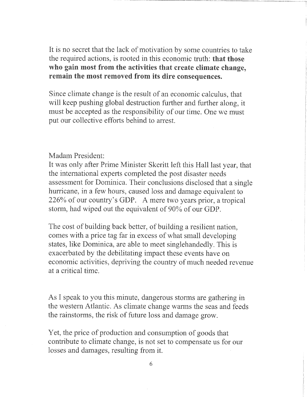It is no secret that the lack of motivation by some countries to take the required actions, is rooted in this economic truth: that those who gain most from the activities that create climate change, remain the most removed from its dire consequences.

Since climate change is the result of an economic calculus, that will keep pushing global destruction further and further along, it must be accepted as the responsibility of our time. One we must put our collective efforts behind to arrest.

Madam President:

It was only after Prime Minister Skeritt left this Hall last year, that the international experts completed the post disaster needs assessment for Dominica. Their conclusions disclosed that a single hurricane, in a few hours, caused loss and damage equivalent to 226% of our country's GDP. A mere two years prior, a tropical storm, had wiped out the equivalent of 90% of our GDP.

The cost of building back better, of building a resilient nation, comes with a price tag far in excess of what small developing states, like Dominica, are able to meet singlehandedly. This is exacerbated by the debilitating impact these events have on economic activities, depriving the country of much needed revenue at a critical time.

As I speak to you this minute, dangerous storms are gathering in the western Atlantic. As climate change warms the seas and feeds the rainstorms, the risk of future loss and damage grow.

Yet, the price of production and consumption of goods that contribute to climate change, is not set to compensate us for our losses and damages, resulting from it.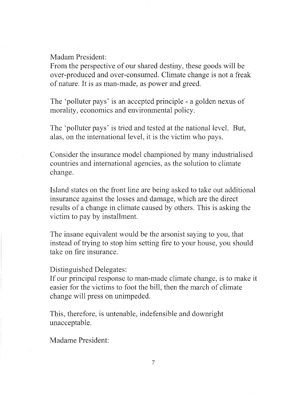Madam President:

From the perspective of our shared destiny, these goods will be over-produced and over-consumed. Climate change is not a freak of nature. It is as man-made, as power and greed.

The 'polluter pays' is an accepted principle - a golden nexus of morality, economics and environmental policy.

The 'polluter pays' is tried and tested at the national level. But, alas, on the international level, it is the victim who pays.

Consider the insurance model championed by many industrialised countries and international agencies, as the solution to climate change.

Island states on the front line are being asked to take out additional insurance against the losses and damage, which are the direct results of a change in climate caused by others. This is asking the victim to pay by installment.

The insane equivalent would be the arsonist saying to you, that instead of trying to stop him setting fire to your house, you should take on fire insurance.

Distinguished Delegates:

If our principal response to man-made climate change, is to make it easier for the victims to foot the bill, then the march of climate change will press on unimpeded.

This, therefore, is untenable, indefensible and downright unacceptable.

Madame President:

7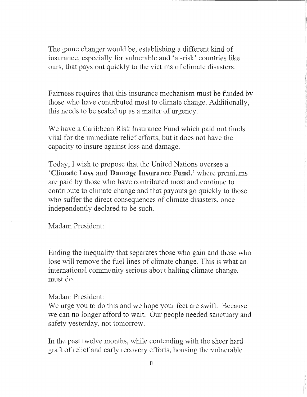The game changer would be, establishing a different kind of insurance, especially for vulnerable and 'at-risk' countries like ours, that pays out quickly to the victims of climate disasters.

Fairness requires that this insurance mechanism must be funded by those who have contributed most to climate change. Additionally, this needs to be scaled up as a matter of urgency.

We have a Caribbean Risk Insurance Fund which paid out funds vital for the immediate relief efforts, but it does not have the capacity to insure against loss and damage.

Today, I wish to propose that the United Nations oversee a 'Climate Loss and Damage Insurance Fund,' where premiums are paid by those who have contributed most and continue to contribute to climate change and that payouts go quickly to those who suffer the direct consequences of climate disasters, once independently declared to be such.

Madam President:

Ending the inequality that separates those who gain and those who lose will remove the fuel lines of climate change. This is what an international community serious about halting climate change, must do.

#### Madam President:

We urge you to do this and we hope your feet are swift. Because we can no longer afford to wait. Our people needed sanctuary and safety yesterday, not tomorrow.

In the past twelve months, while contending with the sheer hard graft of relief and early recovery efforts, housing the vulnerable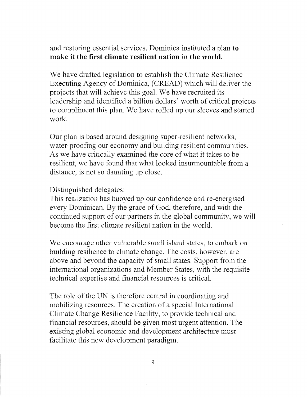nd restoring essential services, Dominica instituted a plan to make it the first climate resilient nation in the world.

We have drafted legislation to establish the Climate Resilience Executing Agency of Dominica, (CREAD) which will deliver the projects that will achieve this goal. We have recruited its leadership and identified a billion dollars' worth of critical projects to compliment this plan. We have rolled up our sleeves and started work.

Our plan is based around designing super-resilient networks, water-proofing our economy and building resilient communities. As we have critically examined the core of what it takes to be resilient, we have found that what looked insurmountable from a distance, is not so daunting up close.

Distinguished delegates:

This realization has buoyed up our confidence and re-energised every Dominican. By the grace of God, therefore, and with the continued support of our partners in the global community, we will become the first climate resilient nation in the world.

We encourage other vulnerable small island states, to embark on building resilience to climate change. The costs, however, are above and beyond the capacity of small states. Support from the international organizations and Member States, with the requisite technical expertise and financial resources is critical.

The role of the UN is therefore central in coordinating and mobilizing resources. The creation of a special International Climate Change Resilience Facility, to provide technical and financial resources, should be given most urgent attention. The existing global economic and development architecture must facilitate this new development paradigm.

9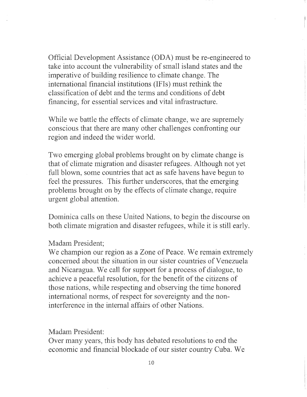Official Development Assistance (ODA) must be re-engineered to take into account the vulnerability of small island states and the imperative of building resilience to climate change. The international financial institutions (IFIs) must rethink the classification of debt and the terms and conditions of debt financing, for essential services and vital infrastructure.

While we battle the effects of climate change, we are supremely conscious that there are many other challenges confronting our region and indeed the wider world.

Two emerging global problems brought on by climate change is that of climate migration and disaster refugees. Although not yet full blown, some countries that act as safe havens have begun to feel the pressures. This further underscores, that the emerging problems brought on by the effects of climate change, require urgent global attention.

Dominica calls on these United Nations, to begin the discourse on both climate migration and disaster refugees, while it is still early.

#### Madam President;

We champion our region as a Zone of Peace. We remain extremely concerned about the situation in our sister countries of Venezuela and Nicaragua. We call for support for a process of dialogue, to achieve a peaceful resolution, for the benefit of the citizens of those nations, while respecting and observing the time honored international norms, of respect for sovereignty and the noninterference in the internal affairs of other Nations.

### Madam President:

Over many years, this body has debated resolutions to end the economic and financial blockade of our sister country Cuba. We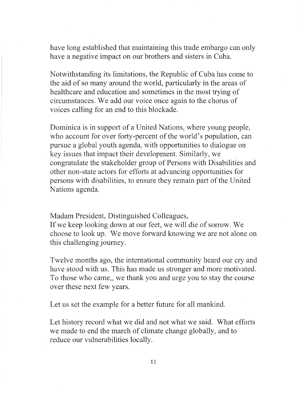have long established that maintaining this trade embargo can only have a negative impact on our brothers and sisters in Cuba.

Notwithstanding its limitations, the Republic of Cuba has come to the aid of so many around the world, particularly in the areas of healthcare and education and sometimes in the most trying of circumstances. We add our voice once again to the chorus of voices calling for an end to this blockade.

Dominica is in support of a United Nations, where young people, who account for over forty-percent of the world's population, can pursue a global youth agenda, with opportunities to dialogue on key issues that impact their development. Similarly, we congratulate the stakeholder group of Persons with Disabilities and other non-state actors for efforts at advancing opportunities for persons with disabilities, to ensure they remain part of the United Nations agenda.

Madam President, Distinguished Colleagues,

If we keep looking down at our feet, we will die of sorrow. We choose to look up. We move forward knowing we are not alone on this challenging journey.

Twelve months ago, the international community heard our cry and have stood with us. This has made us stronger and more motivated. To those who came,, we thank you and urge you to stay the course over these next few years.

Let us set the example for a better future for all mankind.

Let history record what we did and not what we said. What efforts we made to end the march of climate change globally, and to reduce our vulnerabilities locally.